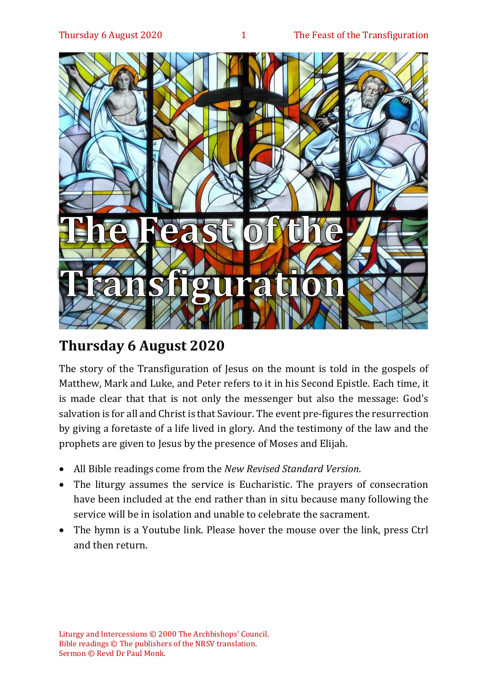

## **Thursday 6 August 2020**

The story of the Transfiguration of Jesus on the mount is told in the gospels of Matthew, Mark and Luke, and Peter refers to it in his Second Epistle. Each time, it is made clear that that is not only the messenger but also the message: God's salvation is for all and Christ is that Saviour. The event pre-figures the resurrection by giving a foretaste of a life lived in glory. And the testimony of the law and the prophets are given to Jesus by the presence of Moses and Elijah.

- All Bible readings come from the *New Revised Standard Version*.
- The liturgy assumes the service is Eucharistic. The prayers of consecration have been included at the end rather than in situ because many following the service will be in isolation and unable to celebrate the sacrament.
- The hymn is a Youtube link. Please hover the mouse over the link, press Ctrl and then return.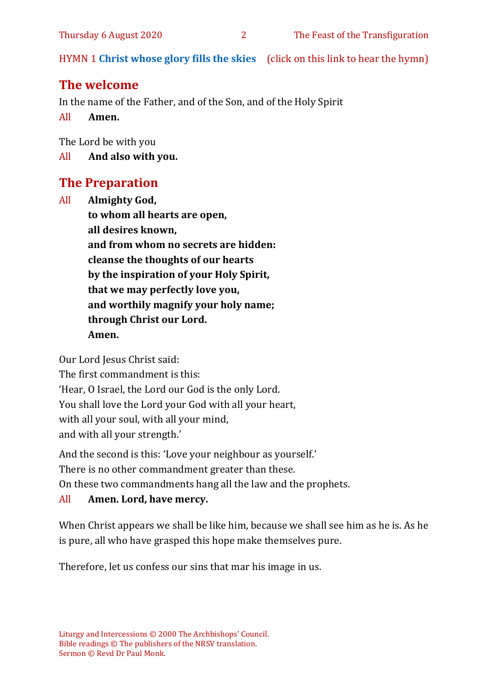HYMN 1 **[Christ whose glory fills the skies](https://www.youtube.com/watch?v=NoOS1L15r6o)** (click on this link to hear the hymn)

## **The welcome**

In the name of the Father, and of the Son, and of the Holy Spirit

All **Amen.**

The Lord be with you

All **And also with you.**

## **The Preparation**

All **Almighty God, to whom all hearts are open, all desires known, and from whom no secrets are hidden: cleanse the thoughts of our hearts by the inspiration of your Holy Spirit, that we may perfectly love you, and worthily magnify your holy name; through Christ our Lord. Amen.**

Our Lord Jesus Christ said:

The first commandment is this: 'Hear, O Israel, the Lord our God is the only Lord. You shall love the Lord your God with all your heart, with all your soul, with all your mind, and with all your strength.'

And the second is this: 'Love your neighbour as yourself.'

There is no other commandment greater than these.

On these two commandments hang all the law and the prophets.

#### All **Amen. Lord, have mercy.**

When Christ appears we shall be like him, because we shall see him as he is. As he is pure, all who have grasped this hope make themselves pure.

Therefore, let us confess our sins that mar his image in us.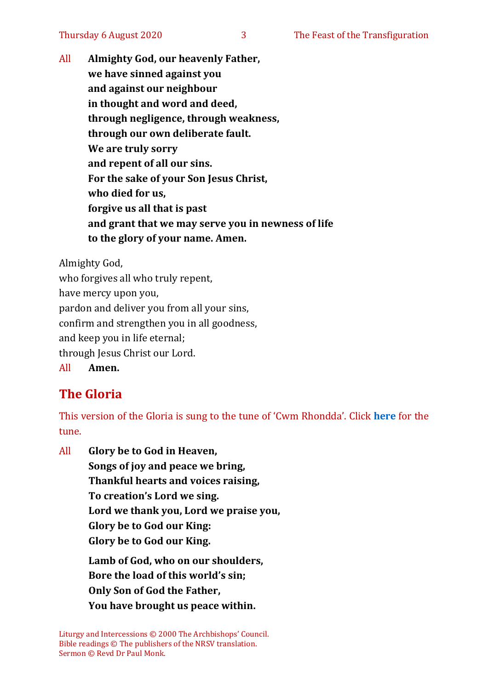All **Almighty God, our heavenly Father, we have sinned against you and against our neighbour in thought and word and deed, through negligence, through weakness, through our own deliberate fault. We are truly sorry and repent of all our sins. For the sake of your Son Jesus Christ, who died for us, forgive us all that is past and grant that we may serve you in newness of life to the glory of your name. Amen.**

Almighty God,

who forgives all who truly repent,

have mercy upon you,

pardon and deliver you from all your sins,

confirm and strengthen you in all goodness,

and keep you in life eternal;

through Jesus Christ our Lord.

All **Amen.**

## **The Gloria**

This version of the Gloria is sung to the tune of 'Cwm Rhondda'. Click **[here](https://www.youtube.com/watch?v=BtGhnEwY74E)** for the tune.

All **Glory be to God in Heaven, Songs of joy and peace we bring, Thankful hearts and voices raising, To creation's Lord we sing. Lord we thank you, Lord we praise you, Glory be to God our King: Glory be to God our King. Lamb of God, who on our shoulders,**

**Bore the load of this world's sin; Only Son of God the Father, You have brought us peace within.**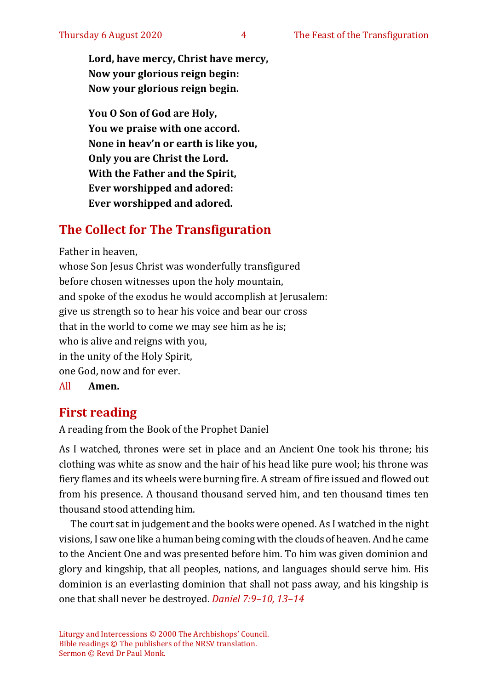**Lord, have mercy, Christ have mercy, Now your glorious reign begin: Now your glorious reign begin.**

**You O Son of God are Holy, You we praise with one accord. None in heav'n or earth is like you, Only you are Christ the Lord. With the Father and the Spirit, Ever worshipped and adored: Ever worshipped and adored.**

### **The Collect for The Transfiguration**

Father in heaven,

whose Son Jesus Christ was wonderfully transfigured before chosen witnesses upon the holy mountain, and spoke of the exodus he would accomplish at Jerusalem: give us strength so to hear his voice and bear our cross that in the world to come we may see him as he is; who is alive and reigns with you, in the unity of the Holy Spirit, one God, now and for ever. All **Amen.**

#### **First reading**

A reading from the Book of the Prophet Daniel

As I watched, thrones were set in place and an Ancient One took his throne; his clothing was white as snow and the hair of his head like pure wool; his throne was fiery flames and its wheels were burning fire. A stream of fire issued and flowed out from his presence. A thousand thousand served him, and ten thousand times ten thousand stood attending him.

The court sat in judgement and the books were opened. As I watched in the night visions, I saw one like a human being coming with the clouds of heaven. And he came to the Ancient One and was presented before him. To him was given dominion and glory and kingship, that all peoples, nations, and languages should serve him. His dominion is an everlasting dominion that shall not pass away, and his kingship is one that shall never be destroyed. *Daniel 7:9–10, 13–14*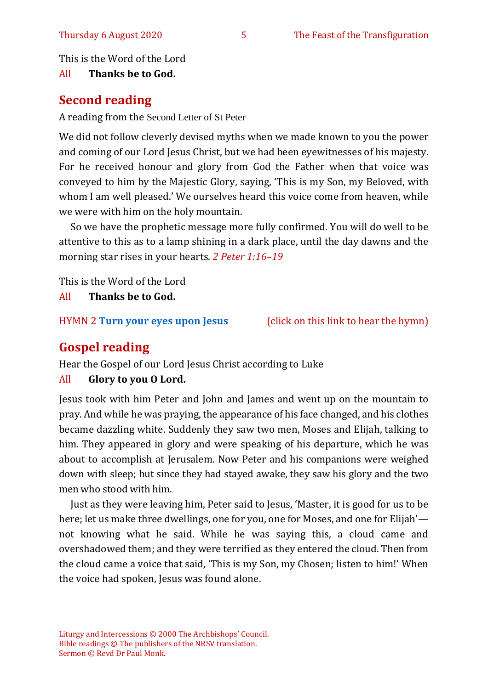This is the Word of the Lord

All **Thanks be to God.**

## **Second reading**

A reading from the Second Letter of St Peter

We did not follow cleverly devised myths when we made known to you the power and coming of our Lord Jesus Christ, but we had been eyewitnesses of his majesty. For he received honour and glory from God the Father when that voice was conveyed to him by the Majestic Glory, saying, 'This is my Son, my Beloved, with whom I am well pleased.' We ourselves heard this voice come from heaven, while we were with him on the holy mountain.

So we have the prophetic message more fully confirmed. You will do well to be attentive to this as to a lamp shining in a dark place, until the day dawns and the morning star rises in your hearts. *2 Peter 1:16–19*

This is the Word of the Lord

All **Thanks be to God.**

HYMN 2 **[Turn your eyes upon Jesus](https://www.youtube.com/watch?v=5xeZBNg0Xo0)** (click on this link to hear the hymn)

## **Gospel reading**

Hear the Gospel of our Lord Jesus Christ according to Luke

All **Glory to you O Lord.**

Jesus took with him Peter and John and James and went up on the mountain to pray. And while he was praying, the appearance of his face changed, and his clothes became dazzling white. Suddenly they saw two men, Moses and Elijah, talking to him. They appeared in glory and were speaking of his departure, which he was about to accomplish at Jerusalem. Now Peter and his companions were weighed down with sleep; but since they had stayed awake, they saw his glory and the two men who stood with him.

Just as they were leaving him, Peter said to Jesus, 'Master, it is good for us to be here; let us make three dwellings, one for you, one for Moses, and one for Elijah' not knowing what he said. While he was saying this, a cloud came and overshadowed them; and they were terrified as they entered the cloud. Then from the cloud came a voice that said, 'This is my Son, my Chosen; listen to him!' When the voice had spoken, Jesus was found alone.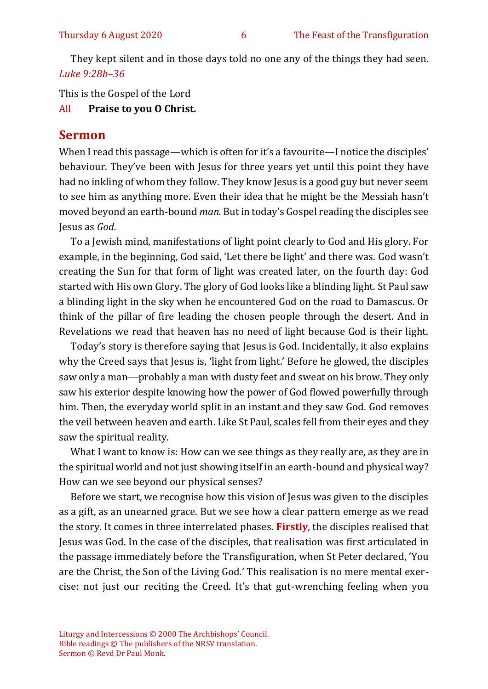They kept silent and in those days told no one any of the things they had seen. *Luke 9:28b–36*

This is the Gospel of the Lord

#### All **Praise to you O Christ.**

#### **Sermon**

When I read this passage—which is often for it's a favourite—I notice the disciples' behaviour. They've been with Jesus for three years yet until this point they have had no inkling of whom they follow. They know Jesus is a good guy but never seem to see him as anything more. Even their idea that he might be the Messiah hasn't moved beyond an earth-bound *man.* But in today's Gospel reading the disciples see Jesus as *God*.

To a Jewish mind, manifestations of light point clearly to God and His glory. For example, in the beginning, God said, 'Let there be light' and there was. God wasn't creating the Sun for that form of light was created later, on the fourth day: God started with His own Glory. The glory of God looks like a blinding light. St Paul saw a blinding light in the sky when he encountered God on the road to Damascus. Or think of the pillar of fire leading the chosen people through the desert. And in Revelations we read that heaven has no need of light because God is their light.

Today's story is therefore saying that Jesus is God. Incidentally, it also explains why the Creed says that Jesus is, 'light from light.' Before he glowed, the disciples saw only a man—probably a man with dusty feet and sweat on his brow. They only saw his exterior despite knowing how the power of God flowed powerfully through him. Then, the everyday world split in an instant and they saw God. God removes the veil between heaven and earth. Like St Paul, scales fell from their eyes and they saw the spiritual reality.

What I want to know is: How can we see things as they really are, as they are in the spiritual world and not just showing itself in an earth-bound and physical way? How can we see beyond our physical senses?

Before we start, we recognise how this vision of Jesus was given to the disciples as a gift, as an unearned grace. But we see how a clear pattern emerge as we read the story. It comes in three interrelated phases. **Firstly**, the disciples realised that Jesus was God. In the case of the disciples, that realisation was first articulated in the passage immediately before the Transfiguration, when St Peter declared, 'You are the Christ, the Son of the Living God.' This realisation is no mere mental exercise: not just our reciting the Creed. It's that gut-wrenching feeling when you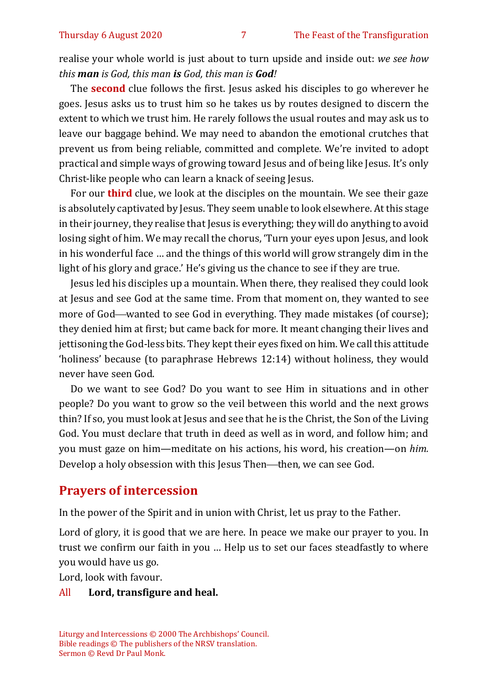realise your whole world is just about to turn upside and inside out: *we see how this man is God, this man is God, this man is God!* 

The **second** clue follows the first. Jesus asked his disciples to go wherever he goes. Jesus asks us to trust him so he takes us by routes designed to discern the extent to which we trust him. He rarely follows the usual routes and may ask us to leave our baggage behind. We may need to abandon the emotional crutches that prevent us from being reliable, committed and complete. We're invited to adopt practical and simple ways of growing toward Jesus and of being like Jesus. It's only Christ-like people who can learn a knack of seeing Jesus.

For our **third** clue, we look at the disciples on the mountain. We see their gaze is absolutely captivated by Jesus. They seem unable to look elsewhere. At this stage in their journey, they realise that Jesus is everything; they will do anything to avoid losing sight of him. We may recall the chorus, 'Turn your eyes upon Jesus, and look in his wonderful face … and the things of this world will grow strangely dim in the light of his glory and grace.' He's giving us the chance to see if they are true.

Jesus led his disciples up a mountain. When there, they realised they could look at Jesus and see God at the same time. From that moment on, they wanted to see more of God—wanted to see God in everything. They made mistakes (of course); they denied him at first; but came back for more. It meant changing their lives and jettisoning the God-less bits. They kept their eyes fixed on him. We call this attitude 'holiness' because (to paraphrase Hebrews 12:14) without holiness, they would never have seen God.

Do we want to see God? Do you want to see Him in situations and in other people? Do you want to grow so the veil between this world and the next grows thin? If so, you must look at Jesus and see that he is the Christ, the Son of the Living God. You must declare that truth in deed as well as in word, and follow him; and you must gaze on him—meditate on his actions, his word, his creation—on *him.*  Develop a holy obsession with this Jesus Then—then, we can see God.

#### **Prayers of intercession**

In the power of the Spirit and in union with Christ, let us pray to the Father.

Lord of glory, it is good that we are here. In peace we make our prayer to you. In trust we confirm our faith in you … Help us to set our faces steadfastly to where you would have us go.

Lord, look with favour.

#### All **Lord, transfigure and heal.**

Liturgy and Intercessions © 2000 The Archbishops' Council. Bible readings © The publishers of the NRSV translation. Sermon © Revd Dr Paul Monk.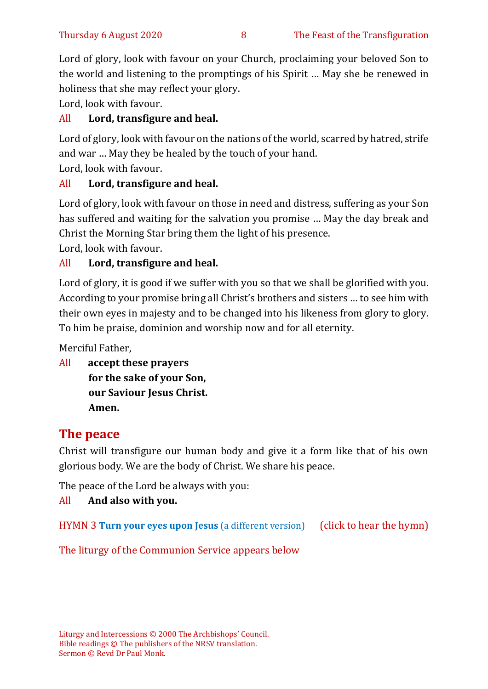Lord of glory, look with favour on your Church, proclaiming your beloved Son to the world and listening to the promptings of his Spirit … May she be renewed in holiness that she may reflect your glory.

Lord, look with favour.

#### All **Lord, transfigure and heal.**

Lord of glory, look with favour on the nations of the world, scarred by hatred, strife and war … May they be healed by the touch of your hand. Lord, look with favour.

#### All **Lord, transfigure and heal.**

Lord of glory, look with favour on those in need and distress, suffering as your Son has suffered and waiting for the salvation you promise … May the day break and Christ the Morning Star bring them the light of his presence.

Lord, look with favour.

### All **Lord, transfigure and heal.**

Lord of glory, it is good if we suffer with you so that we shall be glorified with you. According to your promise bring all Christ's brothers and sisters … to see him with their own eyes in majesty and to be changed into his likeness from glory to glory. To him be praise, dominion and worship now and for all eternity.

Merciful Father,

All **accept these prayers for the sake of your Son, our Saviour Jesus Christ. Amen.**

## **The peace**

Christ will transfigure our human body and give it a form like that of his own glorious body. We are the body of Christ. We share his peace.

The peace of the Lord be always with you:

All **And also with you.**

HYMN 3 **[Turn your eyes upon Jesus](https://www.youtube.com/watch?v=eg4emf9xc2c)** (a different version) (click to hear the hymn)

The liturgy of the Communion Service appears below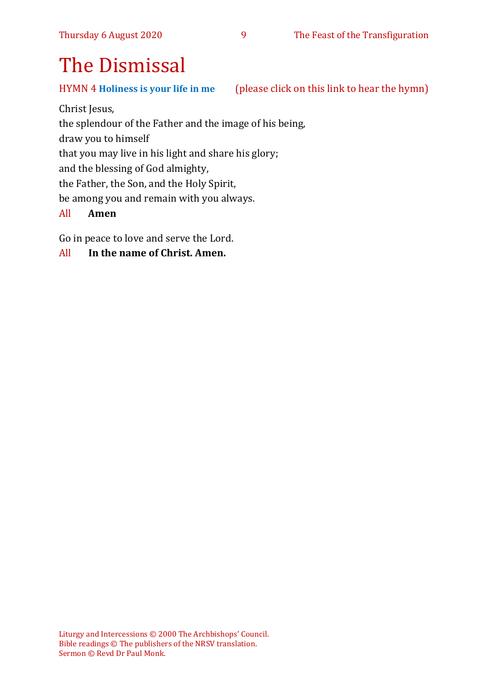# The Dismissal

HYMN 4 **[Holiness is your life in me](https://www.youtube.com/watch?v=vJDEgUks4ZI)** (please click on this link to hear the hymn)

Christ Jesus, the splendour of the Father and the image of his being, draw you to himself that you may live in his light and share his glory; and the blessing of God almighty, the Father, the Son, and the Holy Spirit, be among you and remain with you always. All **Amen**

Go in peace to love and serve the Lord.

#### All **In the name of Christ. Amen.**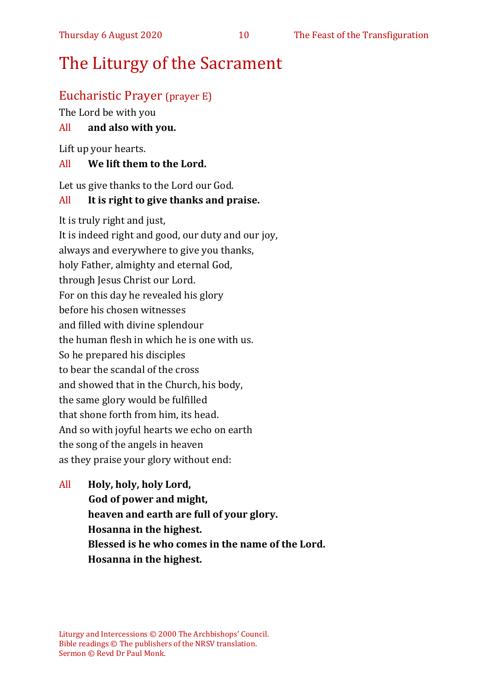## The Liturgy of the Sacrament

#### Eucharistic Prayer (prayer E)

The Lord be with you

#### All **and also with you.**

Lift up your hearts.

#### All **We lift them to the Lord.**

Let us give thanks to the Lord our God.

#### All **It is right to give thanks and praise.**

It is truly right and just, It is indeed right and good, our duty and our joy, always and everywhere to give you thanks, holy Father, almighty and eternal God, through Jesus Christ our Lord. For on this day he revealed his glory before his chosen witnesses and filled with divine splendour the human flesh in which he is one with us. So he prepared his disciples to bear the scandal of the cross and showed that in the Church, his body, the same glory would be fulfilled that shone forth from him, its head. And so with joyful hearts we echo on earth the song of the angels in heaven as they praise your glory without end:

All **Holy, holy, holy Lord, God of power and might, heaven and earth are full of your glory. Hosanna in the highest. Blessed is he who comes in the name of the Lord. Hosanna in the highest.**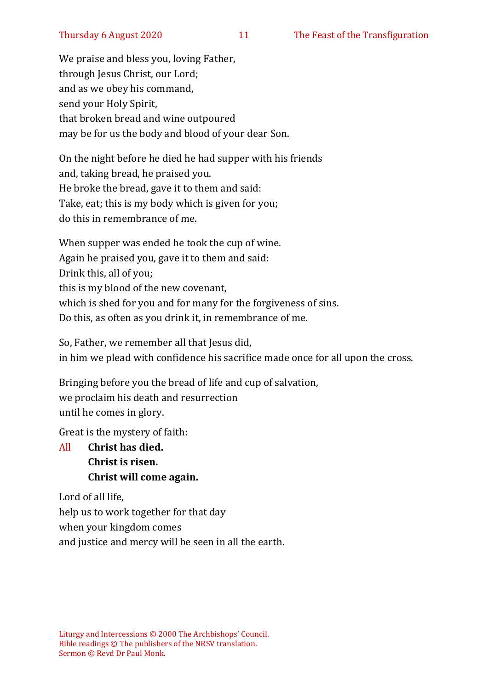We praise and bless you, loving Father, through Jesus Christ, our Lord; and as we obey his command, send your Holy Spirit, that broken bread and wine outpoured may be for us the body and blood of your dear Son.

On the night before he died he had supper with his friends and, taking bread, he praised you. He broke the bread, gave it to them and said: Take, eat; this is my body which is given for you; do this in remembrance of me.

When supper was ended he took the cup of wine. Again he praised you, gave it to them and said: Drink this, all of you; this is my blood of the new covenant, which is shed for you and for many for the forgiveness of sins. Do this, as often as you drink it, in remembrance of me.

So, Father, we remember all that Jesus did, in him we plead with confidence his sacrifice made once for all upon the cross.

Bringing before you the bread of life and cup of salvation, we proclaim his death and resurrection until he comes in glory.

Great is the mystery of faith:

All **Christ has died. Christ is risen. Christ will come again.**

Lord of all life,

help us to work together for that day

when your kingdom comes

and justice and mercy will be seen in all the earth.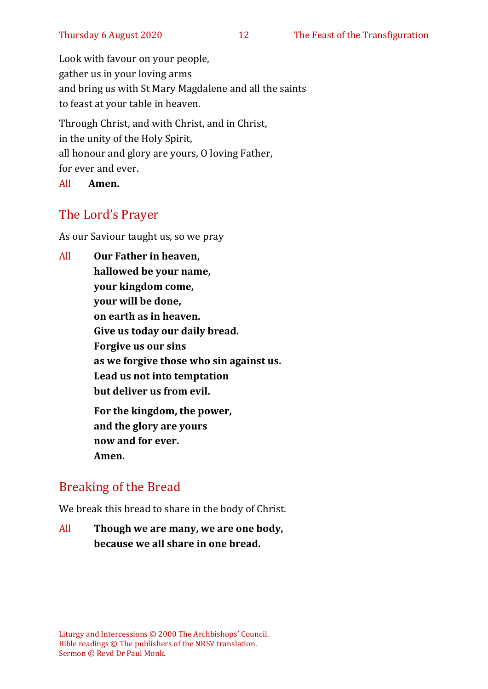Look with favour on your people, gather us in your loving arms and bring us with St Mary Magdalene and all the saints to feast at your table in heaven. Through Christ, and with Christ, and in Christ, in the unity of the Holy Spirit, all honour and glory are yours, O loving Father, for ever and ever.

All **Amen.**

#### The Lord's Prayer

As our Saviour taught us, so we pray

All **Our Father in heaven, hallowed be your name, your kingdom come, your will be done, on earth as in heaven. Give us today our daily bread. Forgive us our sins as we forgive those who sin against us. Lead us not into temptation but deliver us from evil. For the kingdom, the power, and the glory are yours**

**now and for ever.** 

**Amen.**

## Breaking of the Bread

We break this bread to share in the body of Christ.

All **Though we are many, we are one body, because we all share in one bread.**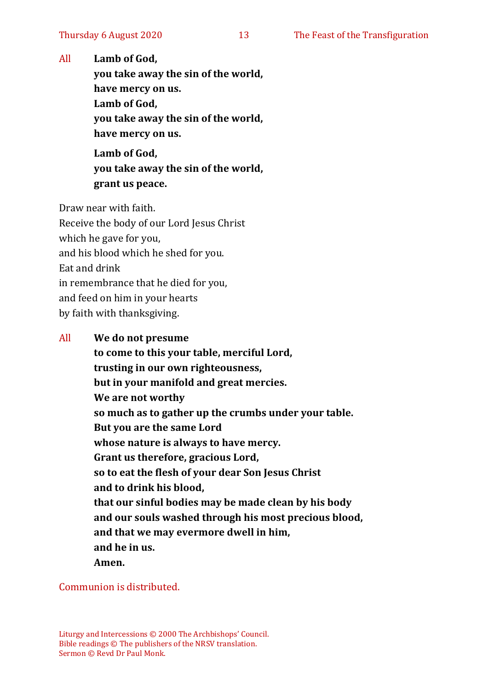All **Lamb of God,**

**you take away the sin of the world, have mercy on us. Lamb of God, you take away the sin of the world, have mercy on us.**

**Lamb of God, you take away the sin of the world, grant us peace.**

Draw near with faith.

Receive the body of our Lord Jesus Christ which he gave for you, and his blood which he shed for you. Eat and drink in remembrance that he died for you, and feed on him in your hearts by faith with thanksgiving.

All **We do not presume to come to this your table, merciful Lord, trusting in our own righteousness, but in your manifold and great mercies. We are not worthy so much as to gather up the crumbs under your table. But you are the same Lord whose nature is always to have mercy. Grant us therefore, gracious Lord, so to eat the flesh of your dear Son Jesus Christ and to drink his blood, that our sinful bodies may be made clean by his body and our souls washed through his most precious blood, and that we may evermore dwell in him, and he in us. Amen.**

Communion is distributed.